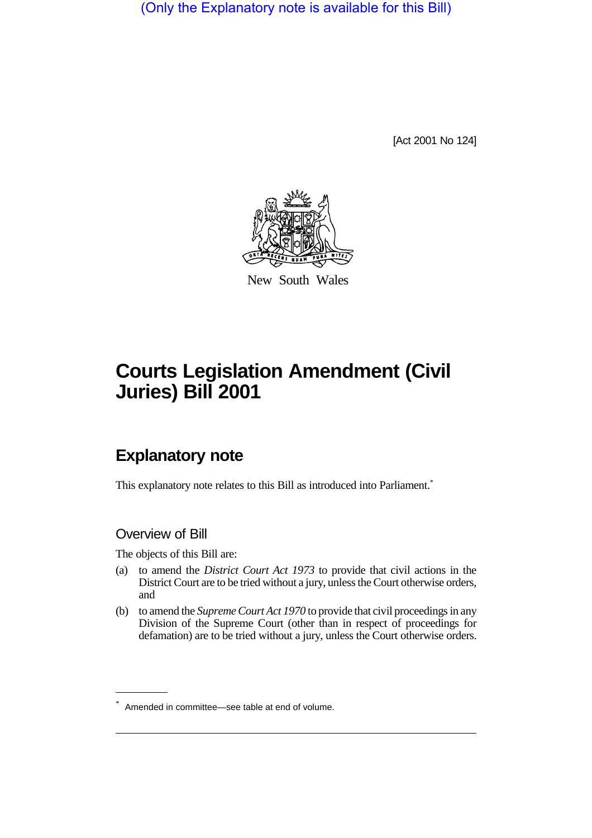(Only the Explanatory note is available for this Bill)

[Act 2001 No 124]



New South Wales

# **Courts Legislation Amendment (Civil Juries) Bill 2001**

## **Explanatory note**

This explanatory note relates to this Bill as introduced into Parliament.<sup>\*</sup>

### Overview of Bill

The objects of this Bill are:

- (a) to amend the *District Court Act 1973* to provide that civil actions in the District Court are to be tried without a jury, unless the Court otherwise orders, and
- (b) to amend the *Supreme Court Act 1970* to provide that civil proceedings in any Division of the Supreme Court (other than in respect of proceedings for defamation) are to be tried without a jury, unless the Court otherwise orders.

<sup>\*</sup> Amended in committee—see table at end of volume.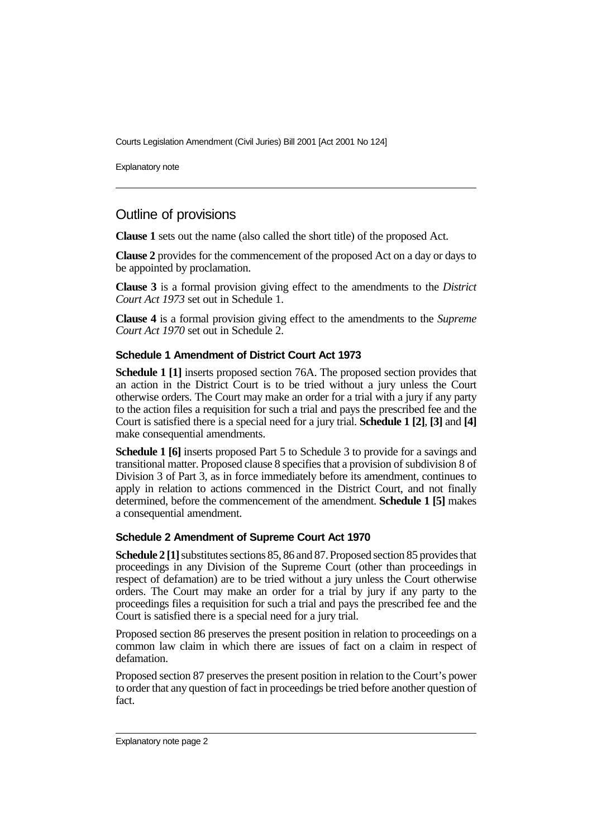Courts Legislation Amendment (Civil Juries) Bill 2001 [Act 2001 No 124]

Explanatory note

## Outline of provisions

**Clause 1** sets out the name (also called the short title) of the proposed Act.

**Clause 2** provides for the commencement of the proposed Act on a day or days to be appointed by proclamation.

**Clause 3** is a formal provision giving effect to the amendments to the *District Court Act 1973* set out in Schedule 1.

**Clause 4** is a formal provision giving effect to the amendments to the *Supreme Court Act 1970* set out in Schedule 2.

#### **Schedule 1 Amendment of District Court Act 1973**

**Schedule 1 [1]** inserts proposed section 76A. The proposed section provides that an action in the District Court is to be tried without a jury unless the Court otherwise orders. The Court may make an order for a trial with a jury if any party to the action files a requisition for such a trial and pays the prescribed fee and the Court is satisfied there is a special need for a jury trial. **Schedule 1 [2]**, **[3]** and **[4]** make consequential amendments.

**Schedule 1 [6]** inserts proposed Part 5 to Schedule 3 to provide for a savings and transitional matter. Proposed clause 8 specifies that a provision of subdivision 8 of Division 3 of Part 3, as in force immediately before its amendment, continues to apply in relation to actions commenced in the District Court, and not finally determined, before the commencement of the amendment. **Schedule 1 [5]** makes a consequential amendment.

#### **Schedule 2 Amendment of Supreme Court Act 1970**

**Schedule 2 [1]** substitutes sections 85, 86 and 87. Proposed section 85 provides that proceedings in any Division of the Supreme Court (other than proceedings in respect of defamation) are to be tried without a jury unless the Court otherwise orders. The Court may make an order for a trial by jury if any party to the proceedings files a requisition for such a trial and pays the prescribed fee and the Court is satisfied there is a special need for a jury trial.

Proposed section 86 preserves the present position in relation to proceedings on a common law claim in which there are issues of fact on a claim in respect of defamation.

Proposed section 87 preserves the present position in relation to the Court's power to order that any question of fact in proceedings be tried before another question of fact.